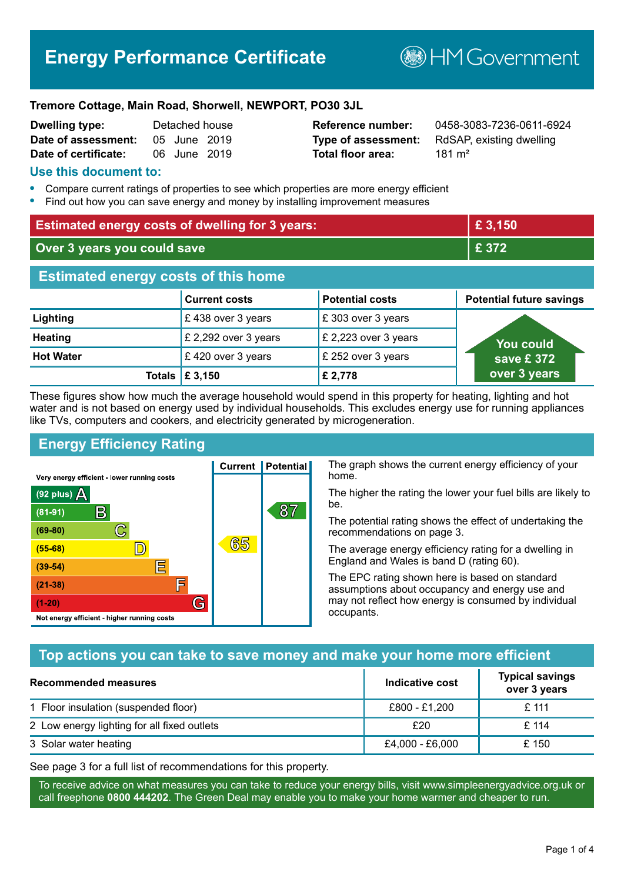# **Energy Performance Certificate**

**B**HM Government

#### **Tremore Cottage, Main Road, Shorwell, NEWPORT, PO30 3JL**

| Dwelling type:       | Detached house |  |
|----------------------|----------------|--|
| Date of assessment:  | 05 June 2019   |  |
| Date of certificate: | 06 June 2019   |  |

# **Total floor area:** 181 m<sup>2</sup>

**Reference number:** 0458-3083-7236-0611-6924 **Type of assessment:** RdSAP, existing dwelling

#### **Use this document to:**

- **•** Compare current ratings of properties to see which properties are more energy efficient
- **•** Find out how you can save energy and money by installing improvement measures

| <b>Estimated energy costs of dwelling for 3 years:</b> |                      | £ 3,150                |                                 |  |
|--------------------------------------------------------|----------------------|------------------------|---------------------------------|--|
| Over 3 years you could save                            |                      | £ 372                  |                                 |  |
| <b>Estimated energy costs of this home</b>             |                      |                        |                                 |  |
|                                                        | <b>Current costs</b> | <b>Potential costs</b> | <b>Potential future savings</b> |  |
| Lighting                                               | £438 over 3 years    | £303 over 3 years      |                                 |  |
| <b>Heating</b>                                         | £ 2,292 over 3 years | £ 2,223 over 3 years   | You could                       |  |
| <b>Hot Water</b>                                       | £420 over 3 years    | £ 252 over 3 years     | save £ $372$                    |  |
| <b>Totals</b>                                          | £ 3,150              | £ 2,778                | over 3 years                    |  |

These figures show how much the average household would spend in this property for heating, lighting and hot water and is not based on energy used by individual households. This excludes energy use for running appliances like TVs, computers and cookers, and electricity generated by microgeneration.

**Current | Potential** 

65

87

# **Energy Efficiency Rating**

 $\mathbb{C}$ 

 $\mathbb{D}$ 

E

E

G

Very energy efficient - lower running costs

 $\mathsf{R}% _{T}$ 

Not energy efficient - higher running costs

 $(92$  plus)

 $(81 - 91)$ 

 $(69 - 80)$ 

 $(55-68)$ 

 $(39 - 54)$  $(21-38)$ 

 $(1-20)$ 

- 70

The graph shows the current energy efficiency of your home.

The higher the rating the lower your fuel bills are likely to be.

The potential rating shows the effect of undertaking the recommendations on page 3.

The average energy efficiency rating for a dwelling in England and Wales is band D (rating 60).

The EPC rating shown here is based on standard assumptions about occupancy and energy use and may not reflect how energy is consumed by individual occupants.

# **Top actions you can take to save money and make your home more efficient**

| Recommended measures                        | Indicative cost | <b>Typical savings</b><br>over 3 years |
|---------------------------------------------|-----------------|----------------------------------------|
| 1 Floor insulation (suspended floor)        | £800 - £1,200   | £ 111                                  |
| 2 Low energy lighting for all fixed outlets | £20             | £114                                   |
| 3 Solar water heating                       | £4,000 - £6,000 | £ 150                                  |

See page 3 for a full list of recommendations for this property.

To receive advice on what measures you can take to reduce your energy bills, visit www.simpleenergyadvice.org.uk or call freephone **0800 444202**. The Green Deal may enable you to make your home warmer and cheaper to run.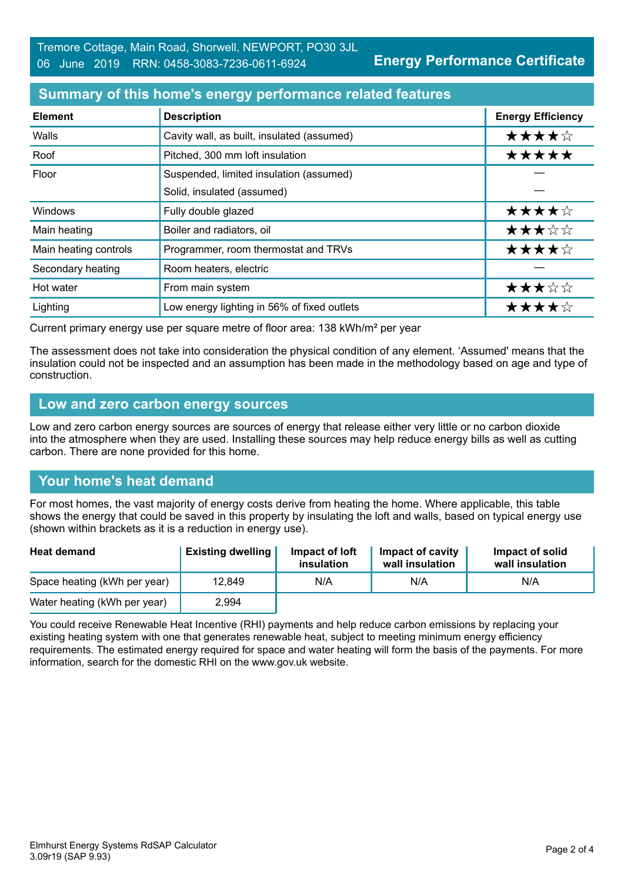# **Summary of this home's energy performance related features**

| <b>Element</b>        | <b>Description</b>                          | <b>Energy Efficiency</b> |
|-----------------------|---------------------------------------------|--------------------------|
| Walls                 | Cavity wall, as built, insulated (assumed)  | ★★★★☆                    |
| Roof                  | Pitched, 300 mm loft insulation             | *****                    |
| Floor                 | Suspended, limited insulation (assumed)     |                          |
|                       | Solid, insulated (assumed)                  |                          |
| Windows               | Fully double glazed                         | ★★★★☆                    |
| Main heating          | Boiler and radiators, oil                   | ★★★☆☆                    |
| Main heating controls | Programmer, room thermostat and TRVs        | ★★★★☆                    |
| Secondary heating     | Room heaters, electric                      |                          |
| Hot water             | From main system                            | ★★★☆☆                    |
| Lighting              | Low energy lighting in 56% of fixed outlets | ★★★★☆                    |

Current primary energy use per square metre of floor area: 138 kWh/m² per year

The assessment does not take into consideration the physical condition of any element. 'Assumed' means that the insulation could not be inspected and an assumption has been made in the methodology based on age and type of construction.

#### **Low and zero carbon energy sources**

Low and zero carbon energy sources are sources of energy that release either very little or no carbon dioxide into the atmosphere when they are used. Installing these sources may help reduce energy bills as well as cutting carbon. There are none provided for this home.

# **Your home's heat demand**

For most homes, the vast majority of energy costs derive from heating the home. Where applicable, this table shows the energy that could be saved in this property by insulating the loft and walls, based on typical energy use (shown within brackets as it is a reduction in energy use).

| <b>Heat demand</b>           | <b>Existing dwelling</b> | Impact of loft<br>insulation | Impact of cavity<br>wall insulation | Impact of solid<br>wall insulation |
|------------------------------|--------------------------|------------------------------|-------------------------------------|------------------------------------|
| Space heating (kWh per year) | 12.849                   | N/A                          | N/A                                 | N/A                                |
| Water heating (kWh per year) | 2,994                    |                              |                                     |                                    |

You could receive Renewable Heat Incentive (RHI) payments and help reduce carbon emissions by replacing your existing heating system with one that generates renewable heat, subject to meeting minimum energy efficiency requirements. The estimated energy required for space and water heating will form the basis of the payments. For more information, search for the domestic RHI on the www.gov.uk website.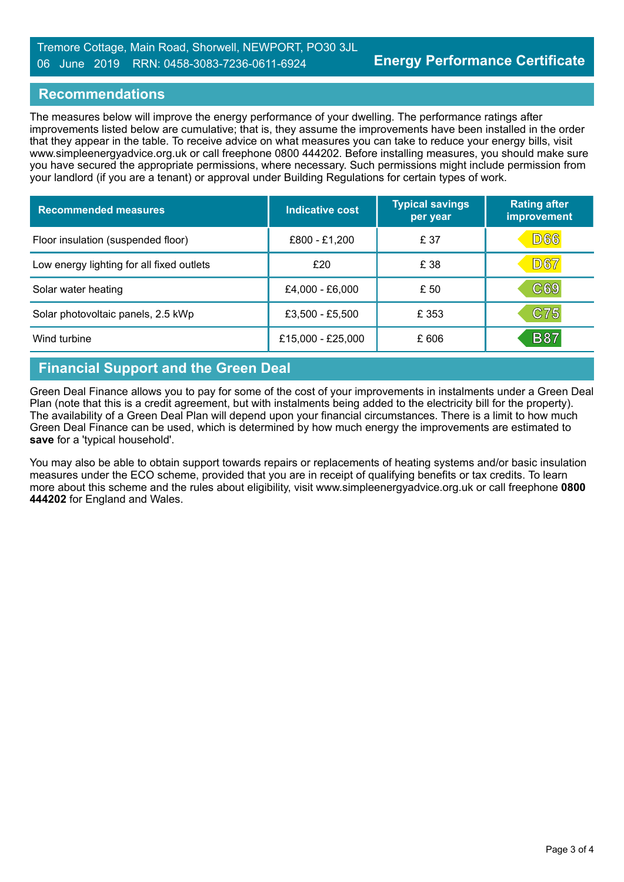### **Recommendations**

The measures below will improve the energy performance of your dwelling. The performance ratings after improvements listed below are cumulative; that is, they assume the improvements have been installed in the order that they appear in the table. To receive advice on what measures you can take to reduce your energy bills, visit www.simpleenergyadvice.org.uk or call freephone 0800 444202. Before installing measures, you should make sure you have secured the appropriate permissions, where necessary. Such permissions might include permission from your landlord (if you are a tenant) or approval under Building Regulations for certain types of work.

| <b>Recommended measures</b>               | Indicative cost   | <b>Typical savings</b><br>per year | <b>Rating after</b><br>improvement |
|-------------------------------------------|-------------------|------------------------------------|------------------------------------|
| Floor insulation (suspended floor)        | £800 - £1,200     | £ 37                               | D66                                |
| Low energy lighting for all fixed outlets | £20               | £ 38                               | <b>D67</b>                         |
| Solar water heating                       | £4,000 - £6,000   | £ 50                               | $\mathbb{C}69$                     |
| Solar photovoltaic panels, 2.5 kWp        | £3,500 - £5,500   | £ 353                              | C75                                |
| Wind turbine                              | £15,000 - £25,000 | £606                               | <b>B87</b>                         |

# **Financial Support and the Green Deal**

Green Deal Finance allows you to pay for some of the cost of your improvements in instalments under a Green Deal Plan (note that this is a credit agreement, but with instalments being added to the electricity bill for the property). The availability of a Green Deal Plan will depend upon your financial circumstances. There is a limit to how much Green Deal Finance can be used, which is determined by how much energy the improvements are estimated to **save** for a 'typical household'.

You may also be able to obtain support towards repairs or replacements of heating systems and/or basic insulation measures under the ECO scheme, provided that you are in receipt of qualifying benefits or tax credits. To learn more about this scheme and the rules about eligibility, visit www.simpleenergyadvice.org.uk or call freephone **0800 444202** for England and Wales.